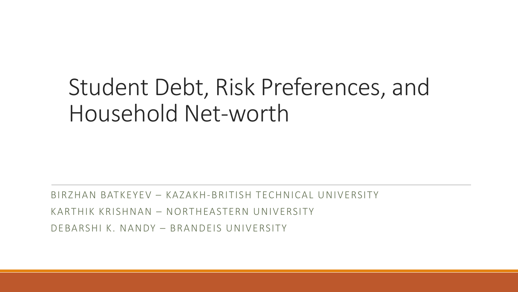## Student Debt, Risk Preferences, and Household Net-worth

BIRZHAN BATKEYEV – KAZAKH-BRITISH TECHNICAL UNIVERSITY KARTHIK KRISHNAN – NORTHEASTERN UNIVERSITY DEBARSHI K. NANDY – BRANDEIS UNIVERSITY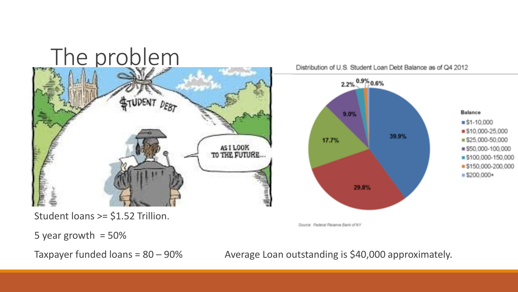## The problem



Distribution of U.S. Student Loan Debt Balance as of Q4 2012



Student loans >= \$1.52 Trillion.

Source: Federal Reserve Bank of NY

5 year growth  $= 50\%$ 

Taxpayer funded loans =  $80 - 90\%$  Average Loan outstanding is \$40,000 approximately.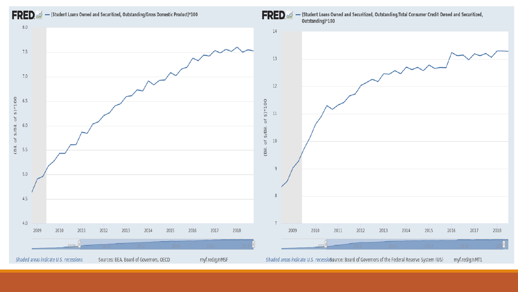

(Bil. of \$/Bil. of \$)\*100

#### FRED  $\mathscr{A}$  - (Student Loans Owned and Securitized, Outstanding/Gross Domestic Product)\*100



[\(Student Loans Owned and Securitized, Outstanding/Total Consumer Credit Owned and Securitized,](http://fred.stlouisfed.org/graph/?g=nMT1) 

2018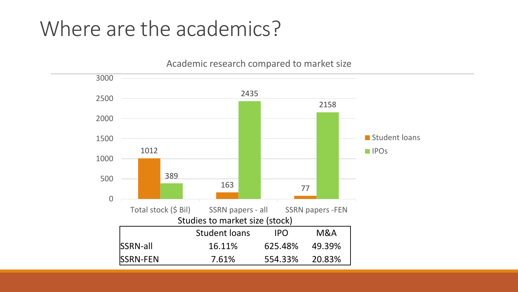#### Where are the academics?



SSRN-FEN 7.61% 554.33% 20.83%

Academic research compared to market size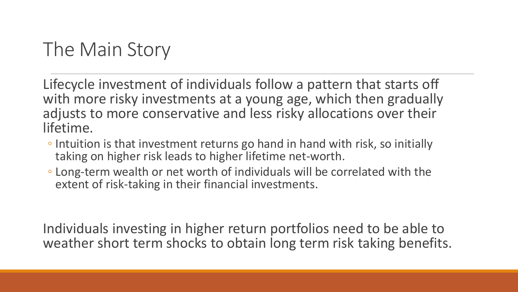#### The Main Story

Lifecycle investment of individuals follow a pattern that starts off with more risky investments at a young age, which then gradually adjusts to more conservative and less risky allocations over their lifetime.

- Intuition is that investment returns go hand in hand with risk, so initially taking on higher risk leads to higher lifetime net-worth.
- Long-term wealth or net worth of individuals will be correlated with the extent of risk-taking in their financial investments.

Individuals investing in higher return portfolios need to be able to weather short term shocks to obtain long term risk taking benefits.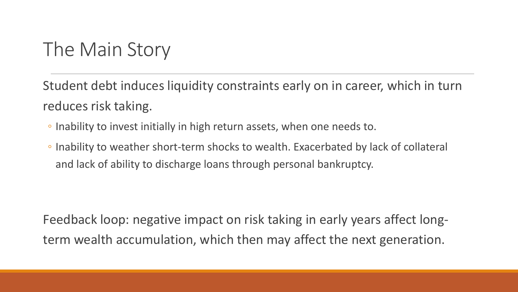#### The Main Story

Student debt induces liquidity constraints early on in career, which in turn reduces risk taking.

- Inability to invest initially in high return assets, when one needs to.
- Inability to weather short-term shocks to wealth. Exacerbated by lack of collateral and lack of ability to discharge loans through personal bankruptcy.

Feedback loop: negative impact on risk taking in early years affect longterm wealth accumulation, which then may affect the next generation.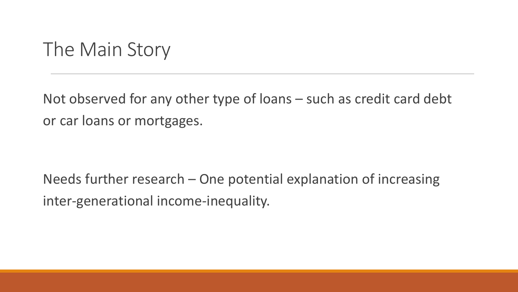#### The Main Story

Not observed for any other type of loans – such as credit card debt or car loans or mortgages.

Needs further research – One potential explanation of increasing inter-generational income-inequality.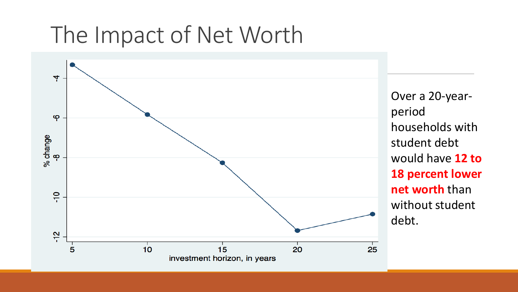## The Impact of Net Worth



Over a 20-yearperiod households with student debt would have **12 to 18 percent lower net worth** than without student debt.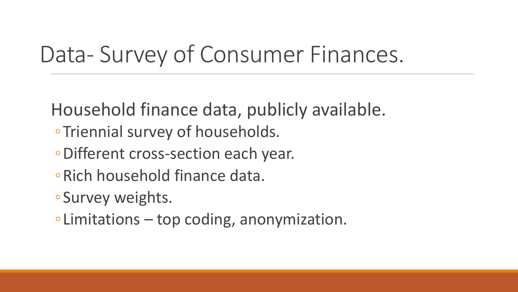## Data- Survey of Consumer Finances.

Household finance data, publicly available.

- ◦Triennial survey of households.
- ◦Different cross-section each year.
- ◦Rich household finance data.
- ◦Survey weights.
- ◦Limitations top coding, anonymization.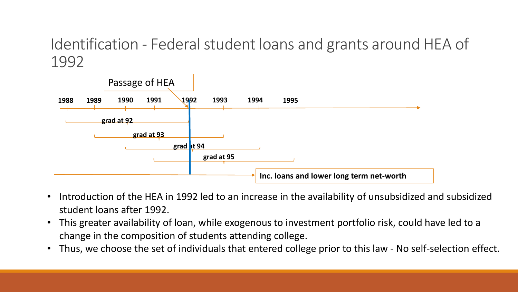#### Identification - Federal student loans and grants around HEA of 1992



- Introduction of the HEA in 1992 led to an increase in the availability of unsubsidized and subsidized student loans after 1992.
- This greater availability of loan, while exogenous to investment portfolio risk, could have led to a change in the composition of students attending college.
- Thus, we choose the set of individuals that entered college prior to this law No self-selection effect.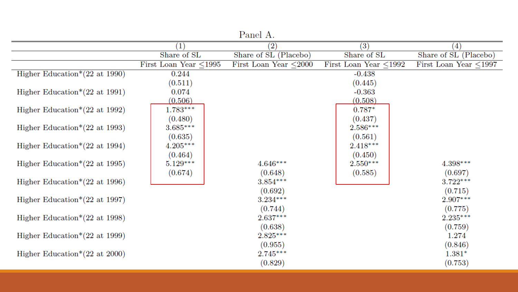|                                              |                             | <b>T</b> COTTOT TT.   |                             |                             |
|----------------------------------------------|-----------------------------|-----------------------|-----------------------------|-----------------------------|
|                                              | $\left( 1\right)$           | $\left( 2\right)$     | (3)                         | $\left( 4\right)$           |
|                                              | Share of SL                 | Share of SL (Placebo) | Share of SL                 | Share of SL (Placebo)       |
|                                              | First Loan Year $\leq$ 1995 | First Loan Year <2000 | First Loan Year $\leq$ 1992 | First Loan Year $\leq$ 1997 |
| Higher Education <sup>*</sup> $(22$ at 1990) | 0.244                       |                       | $-0.438$                    |                             |
|                                              | (0.511)                     |                       | (0.445)                     |                             |
| Higher Education <sup>*</sup> $(22$ at 1991) | 0.074                       |                       | $-0.363$                    |                             |
|                                              | (0.506)                     |                       | (0.508)                     |                             |
| Higher Education <sup>*</sup> $(22$ at 1992) | $1.783***$                  |                       | $0.787*$                    |                             |
|                                              | (0.480)                     |                       | (0.437)                     |                             |
| Higher Education <sup>*</sup> $(22$ at 1993) | $3.685***$                  |                       | $2.586***$                  |                             |
|                                              | (0.635)                     |                       | (0.561)                     |                             |
| Higher Education* $(22 \text{ at } 1994)$    | $4.205***$                  |                       | $2.418***$                  |                             |
|                                              | (0.464)                     |                       | (0.450)                     |                             |
| Higher Education* $(22 \text{ at } 1995)$    | $5.129***$                  | $4.646***$            | $2.550***$                  | $4.398***$                  |
|                                              | (0.674)                     | (0.648)               | (0.585)                     | (0.697)                     |
| Higher Education <sup>*</sup> $(22$ at 1996) |                             | $3.854***$            |                             | $3.722***$                  |
|                                              |                             | (0.692)               |                             | (0.715)                     |
| Higher Education* $(22 \text{ at } 1997)$    |                             | $3.234***$            |                             | $2.907***$                  |
|                                              |                             | (0.744)               |                             | (0.775)                     |
| Higher Education <sup>*</sup> $(22$ at 1998) |                             | $2.637***$            |                             | $2.235***$                  |
|                                              |                             | (0.638)               |                             | (0.759)                     |
| Higher Education* $(22 \text{ at } 1999)$    |                             | $2.825***$            |                             | 1.274                       |
|                                              |                             | (0.955)               |                             | (0.846)                     |
| Higher Education <sup>*</sup> $(22$ at 2000) |                             | $2.745***$            |                             | $1.381*$                    |
|                                              |                             | (0.829)               |                             | (0.753)                     |

Panel A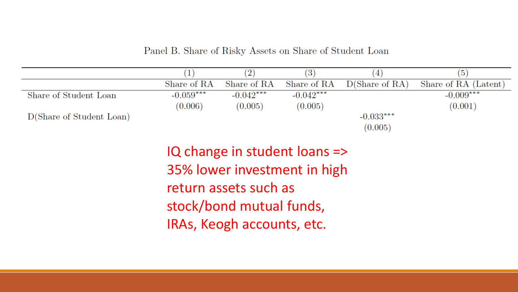Panel B. Share of Risky Assets on Share of Student Loan

|                          |             |             | $\mathbf{G}$ | 4              | (5)                  |  |
|--------------------------|-------------|-------------|--------------|----------------|----------------------|--|
|                          | Share of RA | Share of RA | Share of RA  | D(Share of RA) | Share of RA (Latent) |  |
| Share of Student Loan    | $-0.059***$ | $-0.042***$ | $-0.042***$  |                | $-0.009***$          |  |
|                          | (0.006)     | (0.005)     | (0.005)      |                | (0.001)              |  |
| D(Share of Student Loan) |             |             |              | $-0.033***$    |                      |  |
|                          |             |             |              | (0.005)        |                      |  |

IQ change in student loans => 35% lower investment in high return assets such as stock/bond mutual funds, IRAs, Keogh accounts, etc.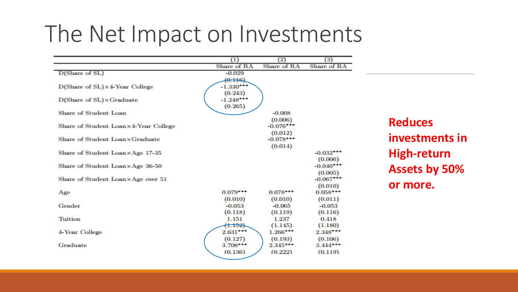### The Net Impact on Investments

|                                         | $\left(1\right)$ | $\left( 2\right)$ | (3)         |
|-----------------------------------------|------------------|-------------------|-------------|
|                                         | Share of RA      | Share of RA       | Share of RA |
| D(Share of SL)                          | $-0.029$         |                   |             |
|                                         | (0.116)          |                   |             |
| $D(Share of SL) \times 4$ -Year College | $-1.330***$      |                   |             |
|                                         | (0.243)          |                   |             |
| $D(Share of SL) \times Graduate$        | $-1.248***$      |                   |             |
|                                         | (0.265)          |                   |             |
| Share of Student Loan                   |                  | $-0.008$          |             |
|                                         |                  | (0.006)           |             |
| Share of Student Loan×4-Year College    |                  | $-0.076***$       |             |
|                                         |                  | (0.012)           |             |
| Share of Student Loan×Graduate          |                  | $-0.078***$       |             |
|                                         |                  | (0.014)           |             |
| Share of Student Loan×Age 17-35         |                  |                   | $-0.032***$ |
|                                         |                  |                   | (0.006)     |
| Share of Student Loan×Age 36-50         |                  |                   | $-0.040***$ |
|                                         |                  |                   | (0.005)     |
| Share of Student Loan×Age over 51       |                  |                   | $-0.067***$ |
|                                         |                  |                   | (0.010)     |
| Age                                     | $0.079***$       | $0.078***$        | $0.058***$  |
|                                         | (0.010)          | (0.010)           | (0.011)     |
| Gender                                  | $-0.053$         | $-0.065$          | $-0.053$    |
|                                         | (0.118)          | (0.119)           | (0.116)     |
| Tuition                                 | 1.151            | 1.237             | 0.418       |
|                                         | (1.152)          | (1.145)           | (1.180)     |
| 4-Year College                          | $2.631***$       | $1.266***$        | $2.348***$  |
|                                         | (0.127)          | (0.193)           | (0.106)     |
| Graduate                                | $3.708***$       | $2.345***$        | $3.444***$  |
|                                         | (0.136)          | (0.222)           | (0.119)     |

**Reduces investments in High-return Assets by 50% or more.**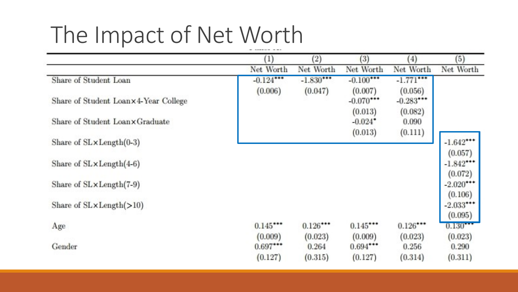# The Impact of Net Worth

|                                      | $^{(1)}$     | (2)         | $\left( 3\right)$       | $\left( 4\right)$       | (5)                    |
|--------------------------------------|--------------|-------------|-------------------------|-------------------------|------------------------|
|                                      | Net Worth    | Net Worth   | Net Worth               | Net Worth               | Net Worth              |
| Share of Student Loan                | $-0.124$ *** | $-1.830***$ | $-0.100***$             | $-1.771$ ***            |                        |
| Share of Student Loan×4-Year College | (0.006)      | (0.047)     | (0.007)<br>$-0.070$ *** | (0.056)<br>$-0.283$ *** |                        |
|                                      |              |             | (0.013)                 | (0.082)                 |                        |
| Share of Student Loanx Graduate      |              |             | $-0.024$ <sup>*</sup>   | 0.090                   |                        |
|                                      |              |             | (0.013)                 | (0.111)                 |                        |
| Share of SL×Length(0-3)              |              |             |                         |                         | $-1.642***$            |
|                                      |              |             |                         |                         | (0.057)                |
| Share of $SLxLength(4-6)$            |              |             |                         |                         | $-1.842***$            |
|                                      |              |             |                         |                         | (0.072)                |
| Share of SL×Length(7-9)              |              |             |                         |                         | $-2.020***$            |
|                                      |              |             |                         |                         | (0.106)<br>$-2.033***$ |
| Share of SL×Length(>10)              |              |             |                         |                         | (0.095)                |
| Age                                  | 0.145        | $0.126***$  | $0.145***$              | $0.126***$              | 0.130***               |
|                                      | (0.009)      | (0.023)     | (0.009)                 | (0.023)                 | (0.023)                |
| Gender                               | $0.697***$   | 0.264       | $0.694***$              | 0.256                   | 0.290                  |
|                                      | (0.127)      | (0.315)     | (0.127)                 | (0.314)                 | (0.311)                |